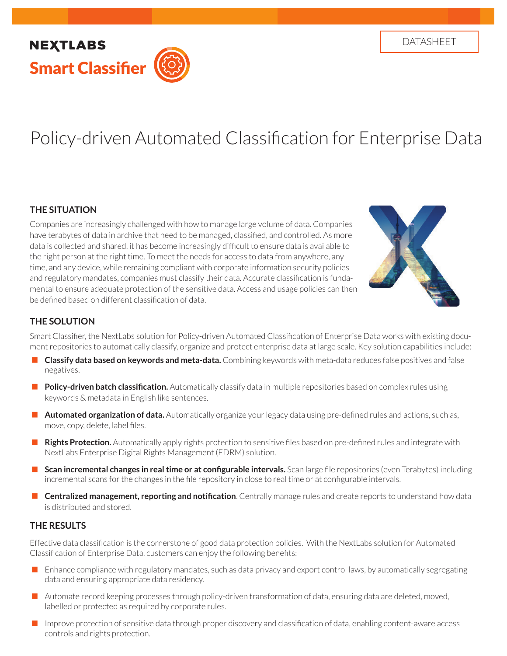## **NEXTLABS** Smart Classifier

# Policy-driven Automated Classification for Enterprise Data

#### **THE SITUATION**

Companies are increasingly challenged with how to manage large volume of data. Companies have terabytes of data in archive that need to be managed, classified, and controlled. As more data is collected and shared, it has become increasingly difficult to ensure data is available to the right person at the right time. To meet the needs for access to data from anywhere, anytime, and any device, while remaining compliant with corporate information security policies and regulatory mandates, companies must classify their data. Accurate classification is fundamental to ensure adequate protection of the sensitive data. Access and usage policies can then be defined based on different classification of data.



## **THE SOLUTION**

Smart Classifier, the NextLabs solution for Policy-driven Automated Classification of Enterprise Data works with existing document repositories to automatically classify, organize and protect enterprise data at large scale. Key solution capabilities include:

- **Classify data based on keywords and meta-data.** Combining keywords with meta-data reduces false positives and false negatives.
- **Policy-driven batch classification.** Automatically classify data in multiple repositories based on complex rules using keywords & metadata in English like sentences.
- **Automated organization of data.** Automatically organize your legacy data using pre-defined rules and actions, such as, move, copy, delete, label files.
- **Rights Protection.** Automatically apply rights protection to sensitive files based on pre-defined rules and integrate with NextLabs Enterprise Digital Rights Management (EDRM) solution.
- **Scan incremental changes in real time or at configurable intervals.** Scan large file repositories (even Terabytes) including incremental scans for the changes in the file repository in close to real time or at configurable intervals.
- **Centralized management, reporting and notification**. Centrally manage rules and create reports to understand how data is distributed and stored.

#### **THE RESULTS**

Effective data classification is the cornerstone of good data protection policies. With the NextLabs solution for Automated Classification of Enterprise Data, customers can enjoy the following benefits:

- **Enhance compliance with regulatory mandates, such as data privacy and export control laws, by automatically segregating** data and ensuring appropriate data residency.
- Automate record keeping processes through policy-driven transformation of data, ensuring data are deleted, moved, labelled or protected as required by corporate rules.
- Improve protection of sensitive data through proper discovery and classification of data, enabling content-aware access controls and rights protection.